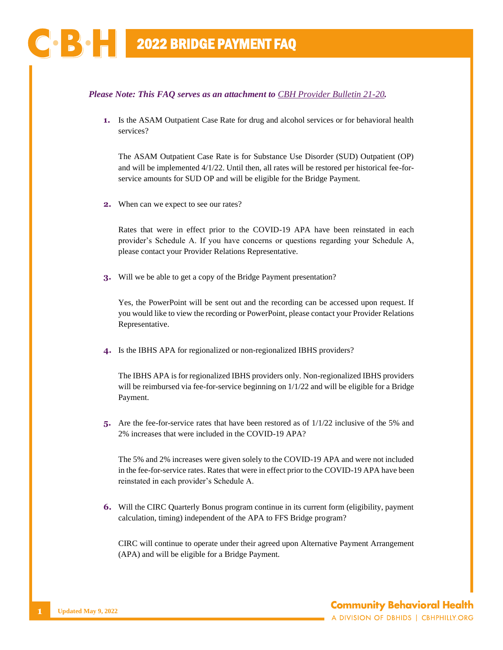## *Please Note: This FAQ serves as an attachment to [CBH Provider Bulletin 21-20](https://cbhphilly.org/wp-content/uploads/2022/01/CBH_Provider-Bulletin_21-20_2022-01-05_APA-Transition_UPDATED.pdf).*

**1.** Is the ASAM Outpatient Case Rate for drug and alcohol services or for behavioral health services?

The ASAM Outpatient Case Rate is for Substance Use Disorder (SUD) Outpatient (OP) and will be implemented 4/1/22. Until then, all rates will be restored per historical fee-forservice amounts for SUD OP and will be eligible for the Bridge Payment.

**2.** When can we expect to see our rates?

Rates that were in effect prior to the COVID-19 APA have been reinstated in each provider's Schedule A. If you have concerns or questions regarding your Schedule A, please contact your Provider Relations Representative.

**3.** Will we be able to get a copy of the Bridge Payment presentation?

Yes, the PowerPoint will be sent out and the recording can be accessed upon request. If you would like to view the recording or PowerPoint, please contact your Provider Relations Representative.

**4.** Is the IBHS APA for regionalized or non-regionalized IBHS providers?

The IBHS APA is for regionalized IBHS providers only. Non-regionalized IBHS providers will be reimbursed via fee-for-service beginning on  $1/1/22$  and will be eligible for a Bridge Payment.

**5.** Are the fee-for-service rates that have been restored as of 1/1/22 inclusive of the 5% and 2% increases that were included in the COVID-19 APA?

The 5% and 2% increases were given solely to the COVID-19 APA and were not included in the fee-for-service rates. Rates that were in effect prior to the COVID-19 APA have been reinstated in each provider's Schedule A.

**6.** Will the CIRC Quarterly Bonus program continue in its current form (eligibility, payment calculation, timing) independent of the APA to FFS Bridge program?

CIRC will continue to operate under their agreed upon Alternative Payment Arrangement (APA) and will be eligible for a Bridge Payment.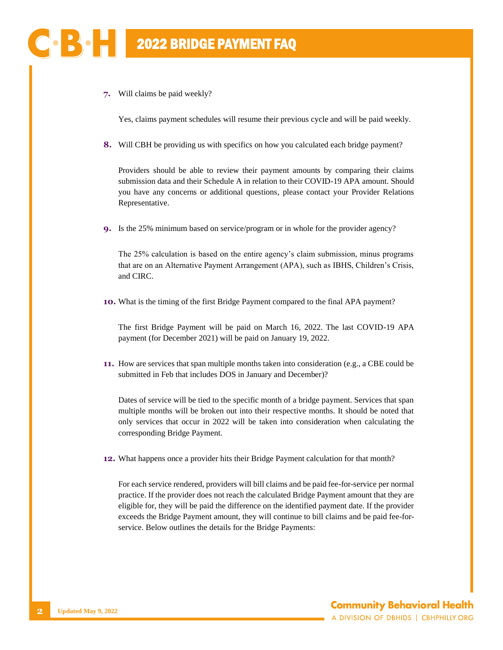**7.** Will claims be paid weekly?

BO H

Yes, claims payment schedules will resume their previous cycle and will be paid weekly.

**8.** Will CBH be providing us with specifics on how you calculated each bridge payment?

Providers should be able to review their payment amounts by comparing their claims submission data and their Schedule A in relation to their COVID-19 APA amount. Should you have any concerns or additional questions, please contact your Provider Relations Representative.

**9.** Is the 25% minimum based on service/program or in whole for the provider agency?

The 25% calculation is based on the entire agency's claim submission, minus programs that are on an Alternative Payment Arrangement (APA), such as IBHS, Children's Crisis, and CIRC.

**10.** What is the timing of the first Bridge Payment compared to the final APA payment?

The first Bridge Payment will be paid on March 16, 2022. The last COVID-19 APA payment (for December 2021) will be paid on January 19, 2022.

**11.** How are services that span multiple months taken into consideration (e.g., a CBE could be submitted in Feb that includes DOS in January and December)?

Dates of service will be tied to the specific month of a bridge payment. Services that span multiple months will be broken out into their respective months. It should be noted that only services that occur in 2022 will be taken into consideration when calculating the corresponding Bridge Payment.

**12.** What happens once a provider hits their Bridge Payment calculation for that month?

For each service rendered, providers will bill claims and be paid fee-for-service per normal practice. If the provider does not reach the calculated Bridge Payment amount that they are eligible for, they will be paid the difference on the identified payment date. If the provider exceeds the Bridge Payment amount, they will continue to bill claims and be paid fee-forservice. Below outlines the details for the Bridge Payments: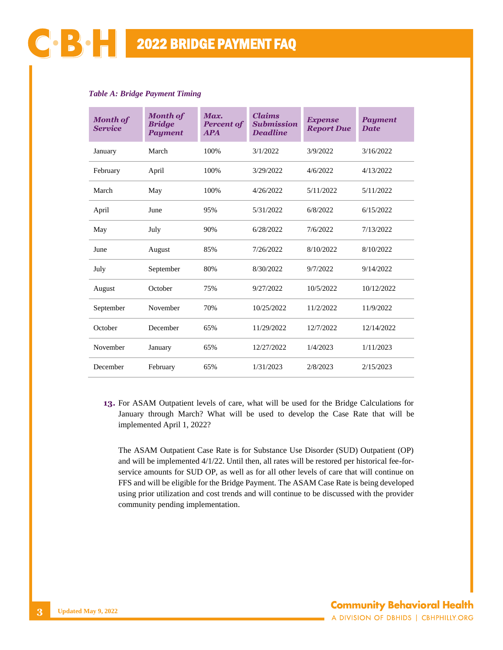| <b>Table A: Bridge Payment Timing</b> |
|---------------------------------------|
|---------------------------------------|

| <b>Month of</b><br><b>Service</b> | <b>Month of</b><br><b>Bridge</b><br><b>Payment</b> | Max.<br><b>Percent of</b><br><b>APA</b> | <b>Claims</b><br><b>Submission</b><br><b>Deadline</b> | <b>Expense</b><br><b>Report Due</b> | <b>Payment</b><br><b>Date</b> |
|-----------------------------------|----------------------------------------------------|-----------------------------------------|-------------------------------------------------------|-------------------------------------|-------------------------------|
| January                           | March                                              | 100%                                    | 3/1/2022                                              | 3/9/2022                            | 3/16/2022                     |
| February                          | April                                              | 100%                                    | 3/29/2022                                             | 4/6/2022                            | 4/13/2022                     |
| March                             | May                                                | 100%                                    | 4/26/2022                                             | 5/11/2022                           | 5/11/2022                     |
| April                             | June                                               | 95%                                     | 5/31/2022                                             | 6/8/2022                            | 6/15/2022                     |
| May                               | July                                               | 90%                                     | 6/28/2022                                             | 7/6/2022                            | 7/13/2022                     |
| June                              | August                                             | 85%                                     | 7/26/2022                                             | 8/10/2022                           | 8/10/2022                     |
| July                              | September                                          | 80%                                     | 8/30/2022                                             | 9/7/2022                            | 9/14/2022                     |
| August                            | October                                            | 75%                                     | 9/27/2022                                             | 10/5/2022                           | 10/12/2022                    |
| September                         | November                                           | 70%                                     | 10/25/2022                                            | 11/2/2022                           | 11/9/2022                     |
| October                           | December                                           | 65%                                     | 11/29/2022                                            | 12/7/2022                           | 12/14/2022                    |
| November                          | January                                            | 65%                                     | 12/27/2022                                            | 1/4/2023                            | 1/11/2023                     |
| December                          | February                                           | 65%                                     | 1/31/2023                                             | 2/8/2023                            | 2/15/2023                     |

**13.** For ASAM Outpatient levels of care, what will be used for the Bridge Calculations for January through March? What will be used to develop the Case Rate that will be implemented April 1, 2022?

The ASAM Outpatient Case Rate is for Substance Use Disorder (SUD) Outpatient (OP) and will be implemented  $4/1/22$ . Until then, all rates will be restored per historical fee-forservice amounts for SUD OP, as well as for all other levels of care that will continue on FFS and will be eligible for the Bridge Payment. The ASAM Case Rate is being developed using prior utilization and cost trends and will continue to be discussed with the provider community pending implementation.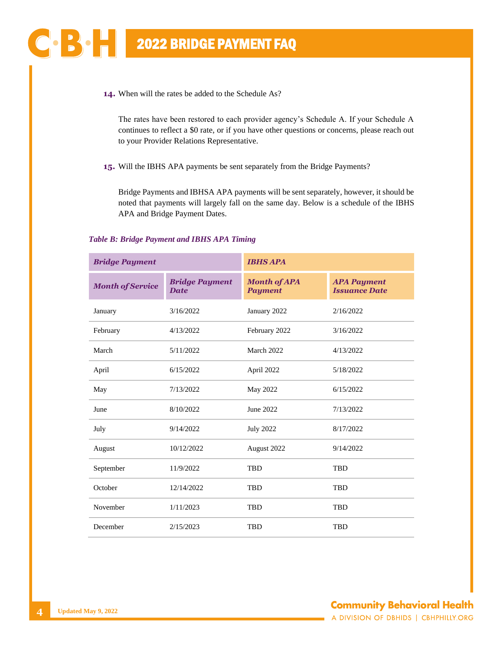**14.** When will the rates be added to the Schedule As?

The rates have been restored to each provider agency's Schedule A. If your Schedule A continues to reflect a \$0 rate, or if you have other questions or concerns, please reach out to your Provider Relations Representative.

**15.** Will the IBHS APA payments be sent separately from the Bridge Payments?

Bridge Payments and IBHSA APA payments will be sent separately, however, it should be noted that payments will largely fall on the same day. Below is a schedule of the IBHS APA and Bridge Payment Dates.

## *Table B: Bridge Payment and IBHS APA Timing*

| <b>Bridge Payment</b>   |                                      | <b>IBHS APA</b>                       |                                            |  |  |
|-------------------------|--------------------------------------|---------------------------------------|--------------------------------------------|--|--|
| <b>Month of Service</b> | <b>Bridge Payment</b><br><b>Date</b> | <b>Month of APA</b><br><b>Payment</b> | <b>APA Payment</b><br><b>Issuance Date</b> |  |  |
| January                 | 3/16/2022                            | January 2022                          | 2/16/2022                                  |  |  |
| February                | 4/13/2022                            | February 2022                         | 3/16/2022                                  |  |  |
| March                   | 5/11/2022                            | March 2022                            | 4/13/2022                                  |  |  |
| April                   | 6/15/2022                            | April 2022                            | 5/18/2022                                  |  |  |
| May                     | 7/13/2022                            | May 2022                              | 6/15/2022                                  |  |  |
| June                    | 8/10/2022                            | June 2022                             | 7/13/2022                                  |  |  |
| July                    | 9/14/2022                            | <b>July 2022</b>                      | 8/17/2022                                  |  |  |
| August                  | 10/12/2022                           | August 2022                           | 9/14/2022                                  |  |  |
| September               | 11/9/2022                            | <b>TBD</b>                            | <b>TBD</b>                                 |  |  |
| October                 | 12/14/2022                           | <b>TBD</b>                            | <b>TBD</b>                                 |  |  |
| November                | 1/11/2023                            | <b>TBD</b>                            | <b>TBD</b>                                 |  |  |
| December                | 2/15/2023                            | <b>TBD</b>                            | <b>TBD</b>                                 |  |  |

 $\mathbf{C}$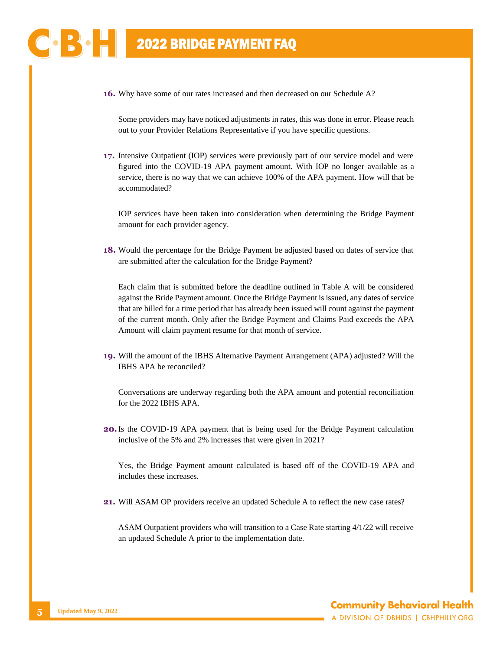**16.** Why have some of our rates increased and then decreased on our Schedule A?

Some providers may have noticed adjustments in rates, this was done in error. Please reach out to your Provider Relations Representative if you have specific questions.

**17.** Intensive Outpatient (IOP) services were previously part of our service model and were figured into the COVID-19 APA payment amount. With IOP no longer available as a service, there is no way that we can achieve 100% of the APA payment. How will that be accommodated?

IOP services have been taken into consideration when determining the Bridge Payment amount for each provider agency.

**18.** Would the percentage for the Bridge Payment be adjusted based on dates of service that are submitted after the calculation for the Bridge Payment?

Each claim that is submitted before the deadline outlined in Table A will be considered against the Bride Payment amount. Once the Bridge Payment is issued, any dates of service that are billed for a time period that has already been issued will count against the payment of the current month. Only after the Bridge Payment and Claims Paid exceeds the APA Amount will claim payment resume for that month of service.

**19.** Will the amount of the IBHS Alternative Payment Arrangement (APA) adjusted? Will the IBHS APA be reconciled?

Conversations are underway regarding both the APA amount and potential reconciliation for the 2022 IBHS APA.

**20.**Is the COVID-19 APA payment that is being used for the Bridge Payment calculation inclusive of the 5% and 2% increases that were given in 2021?

Yes, the Bridge Payment amount calculated is based off of the COVID-19 APA and includes these increases.

**21.** Will ASAM OP providers receive an updated Schedule A to reflect the new case rates?

ASAM Outpatient providers who will transition to a Case Rate starting 4/1/22 will receive an updated Schedule A prior to the implementation date.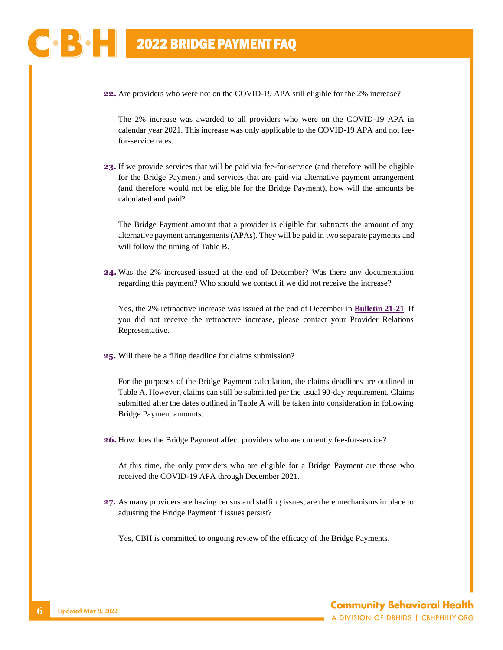**22.** Are providers who were not on the COVID-19 APA still eligible for the 2% increase?

The 2% increase was awarded to all providers who were on the COVID-19 APA in calendar year 2021. This increase was only applicable to the COVID-19 APA and not feefor-service rates.

**23.** If we provide services that will be paid via fee-for-service (and therefore will be eligible for the Bridge Payment) and services that are paid via alternative payment arrangement (and therefore would not be eligible for the Bridge Payment), how will the amounts be calculated and paid?

The Bridge Payment amount that a provider is eligible for subtracts the amount of any alternative payment arrangements (APAs). They will be paid in two separate payments and will follow the timing of Table B.

**24.** Was the 2% increased issued at the end of December? Was there any documentation regarding this payment? Who should we contact if we did not receive the increase?

Yes, the 2% retroactive increase was issued at the end of December in **[Bulletin 21-21](https://cbhphilly.org/wp-content/uploads/2021/12/CBH_Provider-Bulletin_21-21_2021-12-28_APA-Increase.pdf)**. If you did not receive the retroactive increase, please contact your Provider Relations Representative.

**25.** Will there be a filing deadline for claims submission?

For the purposes of the Bridge Payment calculation, the claims deadlines are outlined in Table A. However, claims can still be submitted per the usual 90-day requirement. Claims submitted after the dates outlined in Table A will be taken into consideration in following Bridge Payment amounts.

**26.** How does the Bridge Payment affect providers who are currently fee-for-service?

At this time, the only providers who are eligible for a Bridge Payment are those who received the COVID-19 APA through December 2021.

**27.** As many providers are having census and staffing issues, are there mechanisms in place to adjusting the Bridge Payment if issues persist?

Yes, CBH is committed to ongoing review of the efficacy of the Bridge Payments.

BO H